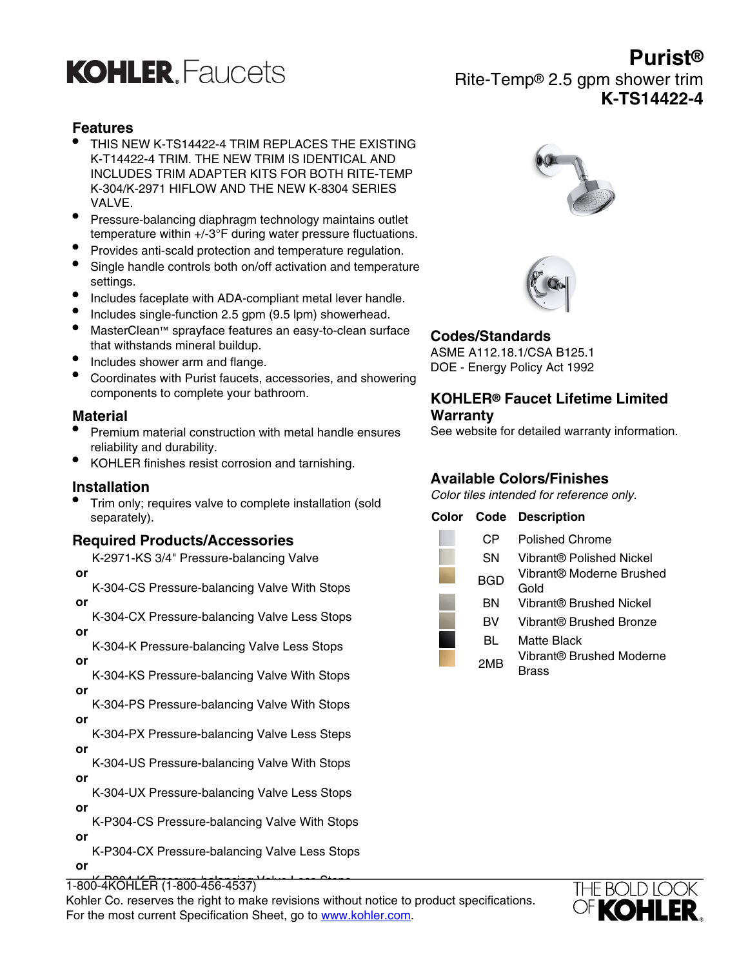# **KOHLER** Faucets

## **Features**

- THIS NEW K-TS14422-4 TRIM REPLACES THE EXISTING K-T14422-4 TRIM. THE NEW TRIM IS IDENTICAL AND INCLUDES TRIM ADAPTER KITS FOR BOTH RITE-TEMP K-304/K-2971 HIFLOW AND THE NEW K-8304 SERIES VALVE.
- Pressure-balancing diaphragm technology maintains outlet temperature within +/-3°F during water pressure fluctuations.
- Provides anti-scald protection and temperature regulation.
- Single handle controls both on/off activation and temperature settings.
- Includes faceplate with ADA-compliant metal lever handle.
- Includes single-function 2.5 gpm (9.5 lpm) showerhead.
- MasterClean™ sprayface features an easy-to-clean surface that withstands mineral buildup.
- Includes shower arm and flange.
- Coordinates with Purist faucets, accessories, and showering components to complete your bathroom.

## **Material**

- Premium material construction with metal handle ensures reliability and durability.
- KOHLER finishes resist corrosion and tarnishing.

### **Installation**

• Trim only; requires valve to complete installation (sold separately).

## **Required Products/Accessories**

K-2971-KS 3/4" Pressure-balancing Valve  **or**

K-304-CS Pressure-balancing Valve With Stops  **or**

K-304-CX Pressure-balancing Valve Less Stops  **or**

K-304-K Pressure-balancing Valve Less Stops  **or**

K-304-KS Pressure-balancing Valve With Stops  **or**

K-304-PS Pressure-balancing Valve With Stops  **or**

K-304-PX Pressure-balancing Valve Less Steps  **or**

K-304-US Pressure-balancing Valve With Stops  **or**

K-304-UX Pressure-balancing Valve Less Stops  **or**

K-P304-CS Pressure-balancing Valve With Stops  **or**

K-P304-CX Pressure-balancing Valve Less Stops

 **or**

1-800-4K OHLER (1-800-456-4537)

 **or** Kohler Co. reserves the right to make revisions without notice to product specifications. For the most current Specification Sheet, go to [www.kohler.com](http://www.kohler.com).





## **Codes/Standards**

ASME A112.18.1/CSA B125.1 DOE - Energy Policy Act 1992

## **KOHLER® Faucet Lifetime Limited Warranty**

See website for detailed warranty information.

## **Available Colors/Finishes**

Color tiles intended for reference only.

## **Color Code Description**





**Purist®** Rite-Temp® 2.5 gpm shower trim **K-TS14422-4**